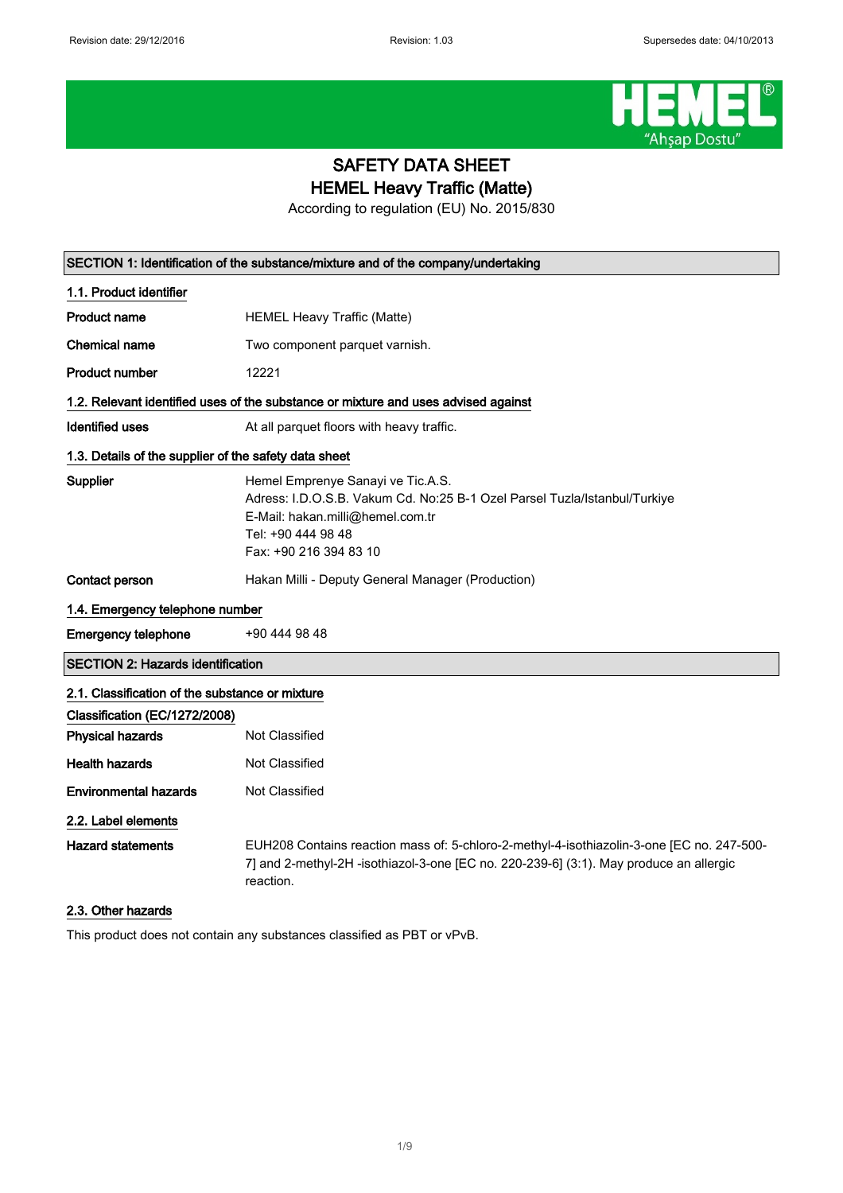

## SAFETY DATA SHEET HEMEL Heavy Traffic (Matte)

According to regulation (EU) No. 2015/830

|                                                       | SECTION 1: Identification of the substance/mixture and of the company/undertaking                                                                                                                  |
|-------------------------------------------------------|----------------------------------------------------------------------------------------------------------------------------------------------------------------------------------------------------|
| 1.1. Product identifier                               |                                                                                                                                                                                                    |
| <b>Product name</b>                                   | <b>HEMEL Heavy Traffic (Matte)</b>                                                                                                                                                                 |
| <b>Chemical name</b>                                  | Two component parquet varnish.                                                                                                                                                                     |
| Product number                                        | 12221                                                                                                                                                                                              |
|                                                       | 1.2. Relevant identified uses of the substance or mixture and uses advised against                                                                                                                 |
| <b>Identified uses</b>                                | At all parquet floors with heavy traffic.                                                                                                                                                          |
| 1.3. Details of the supplier of the safety data sheet |                                                                                                                                                                                                    |
| Supplier                                              | Hemel Emprenye Sanayi ve Tic.A.S.<br>Adress: I.D.O.S.B. Vakum Cd. No:25 B-1 Ozel Parsel Tuzla/Istanbul/Turkiye<br>E-Mail: hakan.milli@hemel.com.tr<br>Tel: +90 444 98 48<br>Fax: +90 216 394 83 10 |
| <b>Contact person</b>                                 | Hakan Milli - Deputy General Manager (Production)                                                                                                                                                  |
| 1.4. Emergency telephone number                       |                                                                                                                                                                                                    |
| <b>Emergency telephone</b>                            | +90 444 98 48                                                                                                                                                                                      |
| <b>SECTION 2: Hazards identification</b>              |                                                                                                                                                                                                    |
| 2.1. Classification of the substance or mixture       |                                                                                                                                                                                                    |
| Classification (EC/1272/2008)                         |                                                                                                                                                                                                    |
| <b>Physical hazards</b>                               | Not Classified                                                                                                                                                                                     |
| <b>Health hazards</b>                                 | <b>Not Classified</b>                                                                                                                                                                              |
| <b>Environmental hazards</b>                          | <b>Not Classified</b>                                                                                                                                                                              |
| 2.2. Label elements                                   |                                                                                                                                                                                                    |
| <b>Hazard statements</b>                              | EUH208 Contains reaction mass of: 5-chloro-2-methyl-4-isothiazolin-3-one [EC no. 247-500-<br>7] and 2-methyl-2H -isothiazol-3-one [EC no. 220-239-6] (3:1). May produce an allergic<br>reaction.   |
| 2.3. Other hazards                                    |                                                                                                                                                                                                    |
|                                                       | This product does not contain any substances classified as PBT or vPvB.                                                                                                                            |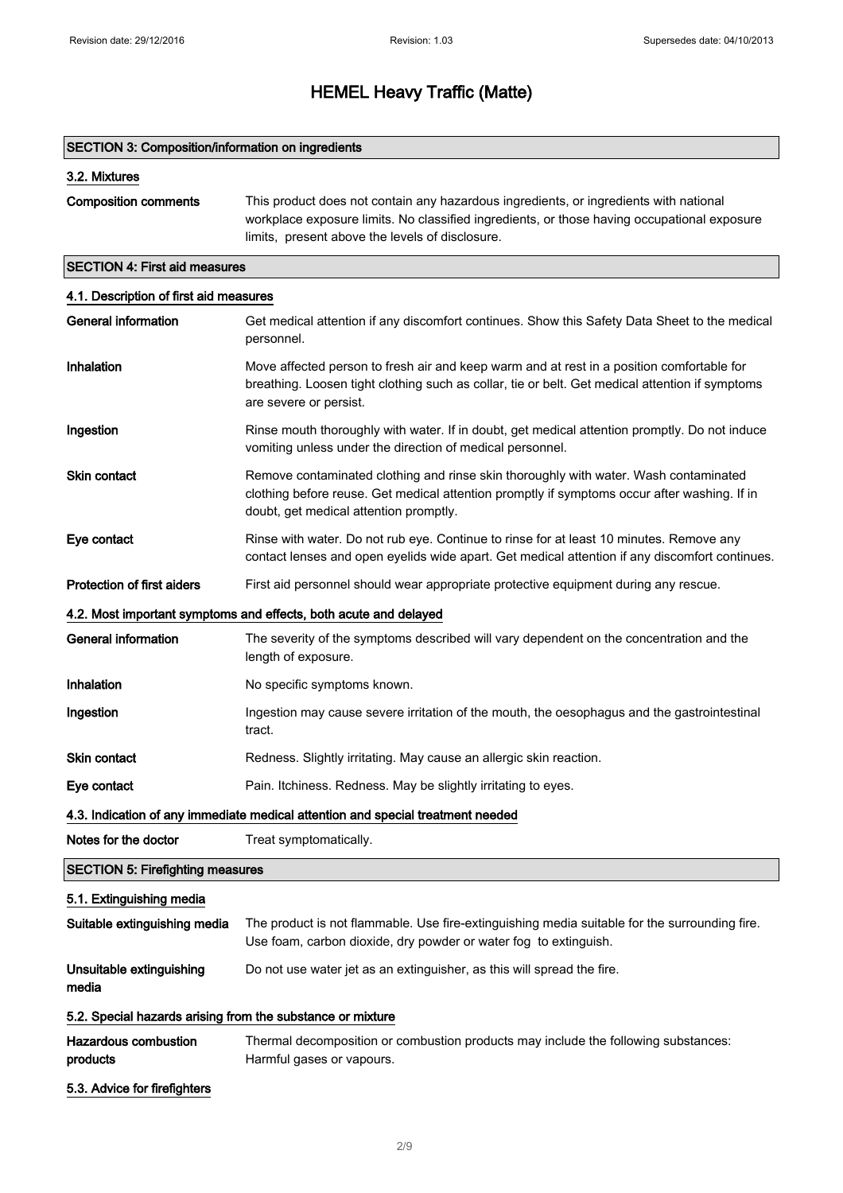### SECTION 3: Composition/information on ingredients

## 3.2. Mixtures

```
Composition comments This product does not contain any hazardous ingredients, or ingredients with national
                  workplace exposure limits. No classified ingredients, or those having occupational exposure
                  limits,  present above the levels of disclosure.
```
## SECTION 4: First aid measures

### 4.1. Description of first aid measures

| <b>General information</b>                                 | Get medical attention if any discomfort continues. Show this Safety Data Sheet to the medical<br>personnel.                                                                                                                    |
|------------------------------------------------------------|--------------------------------------------------------------------------------------------------------------------------------------------------------------------------------------------------------------------------------|
| Inhalation                                                 | Move affected person to fresh air and keep warm and at rest in a position comfortable for<br>breathing. Loosen tight clothing such as collar, tie or belt. Get medical attention if symptoms<br>are severe or persist.         |
| Ingestion                                                  | Rinse mouth thoroughly with water. If in doubt, get medical attention promptly. Do not induce<br>vomiting unless under the direction of medical personnel.                                                                     |
| <b>Skin contact</b>                                        | Remove contaminated clothing and rinse skin thoroughly with water. Wash contaminated<br>clothing before reuse. Get medical attention promptly if symptoms occur after washing. If in<br>doubt, get medical attention promptly. |
| Eye contact                                                | Rinse with water. Do not rub eye. Continue to rinse for at least 10 minutes. Remove any<br>contact lenses and open eyelids wide apart. Get medical attention if any discomfort continues.                                      |
| <b>Protection of first aiders</b>                          | First aid personnel should wear appropriate protective equipment during any rescue.                                                                                                                                            |
|                                                            | 4.2. Most important symptoms and effects, both acute and delayed                                                                                                                                                               |
| <b>General information</b>                                 | The severity of the symptoms described will vary dependent on the concentration and the<br>length of exposure.                                                                                                                 |
| Inhalation                                                 | No specific symptoms known.                                                                                                                                                                                                    |
| Ingestion                                                  | Ingestion may cause severe irritation of the mouth, the oesophagus and the gastrointestinal<br>tract.                                                                                                                          |
| <b>Skin contact</b>                                        | Redness. Slightly irritating. May cause an allergic skin reaction.                                                                                                                                                             |
| Eye contact                                                | Pain. Itchiness. Redness. May be slightly irritating to eyes.                                                                                                                                                                  |
|                                                            | 4.3. Indication of any immediate medical attention and special treatment needed                                                                                                                                                |
| Notes for the doctor                                       | Treat symptomatically.                                                                                                                                                                                                         |
| <b>SECTION 5: Firefighting measures</b>                    |                                                                                                                                                                                                                                |
| 5.1. Extinguishing media                                   |                                                                                                                                                                                                                                |
| Suitable extinguishing media                               | The product is not flammable. Use fire-extinguishing media suitable for the surrounding fire.<br>Use foam, carbon dioxide, dry powder or water fog to extinguish.                                                              |
| Unsuitable extinguishing<br>media                          | Do not use water jet as an extinguisher, as this will spread the fire.                                                                                                                                                         |
| 5.2. Special hazards arising from the substance or mixture |                                                                                                                                                                                                                                |
| <b>Hazardous combustion</b><br>products                    | Thermal decomposition or combustion products may include the following substances:<br>Harmful gases or vapours.                                                                                                                |
| 5.3. Advice for firefighters                               |                                                                                                                                                                                                                                |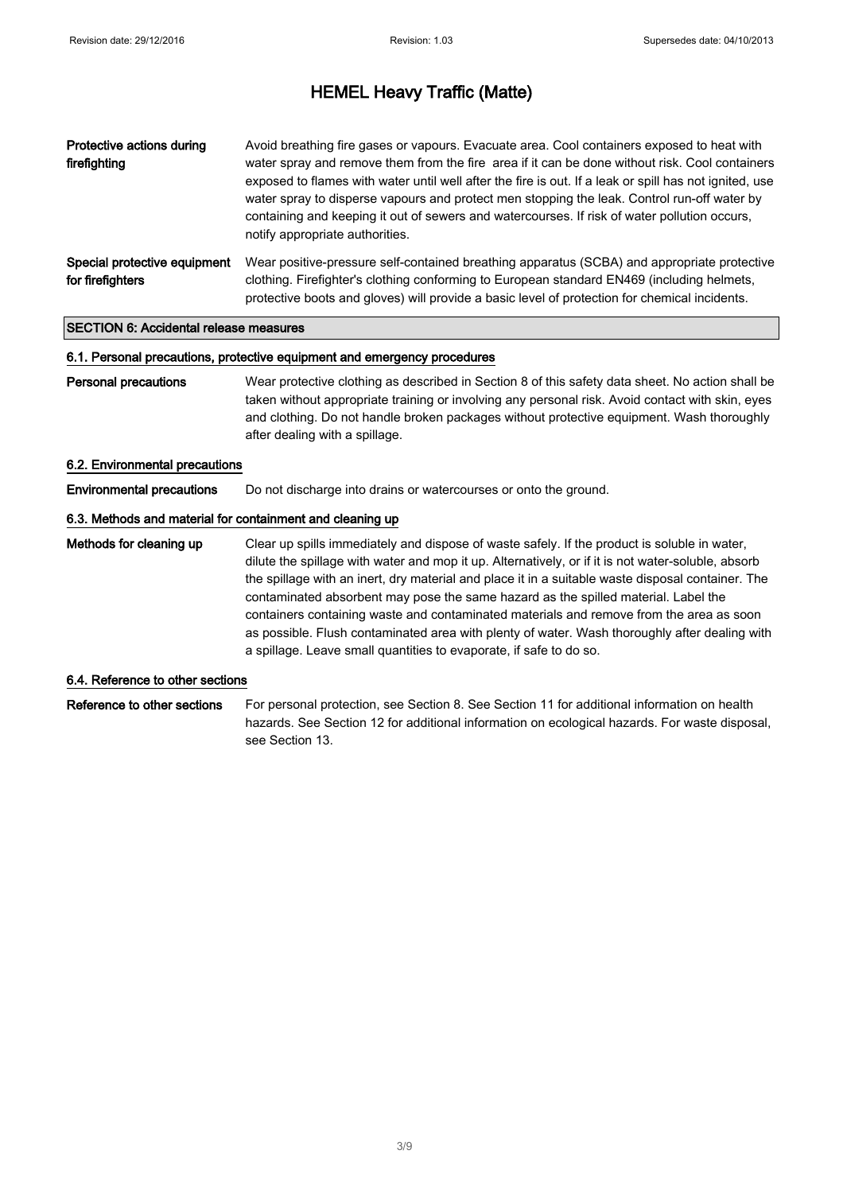| Protective actions during<br>firefighting        | Avoid breathing fire gases or vapours. Evacuate area. Cool containers exposed to heat with<br>water spray and remove them from the fire area if it can be done without risk. Cool containers<br>exposed to flames with water until well after the fire is out. If a leak or spill has not ignited, use<br>water spray to disperse vapours and protect men stopping the leak. Control run-off water by<br>containing and keeping it out of sewers and watercourses. If risk of water pollution occurs,<br>notify appropriate authorities. |
|--------------------------------------------------|------------------------------------------------------------------------------------------------------------------------------------------------------------------------------------------------------------------------------------------------------------------------------------------------------------------------------------------------------------------------------------------------------------------------------------------------------------------------------------------------------------------------------------------|
| Special protective equipment<br>for firefighters | Wear positive-pressure self-contained breathing apparatus (SCBA) and appropriate protective<br>clothing. Firefighter's clothing conforming to European standard EN469 (including helmets,<br>protective boots and gloves) will provide a basic level of protection for chemical incidents.                                                                                                                                                                                                                                               |

## SECTION 6: Accidental release measures

#### 6.1. Personal precautions, protective equipment and emergency procedures

Personal precautions Wear protective clothing as described in Section 8 of this safety data sheet. No action shall be taken without appropriate training or involving any personal risk. Avoid contact with skin, eyes and clothing. Do not handle broken packages without protective equipment. Wash thoroughly after dealing with a spillage.

#### 6.2. Environmental precautions

Environmental precautions Do not discharge into drains or watercourses or onto the ground.

## 6.3. Methods and material for containment and cleaning up

Methods for cleaning up Clear up spills immediately and dispose of waste safely. If the product is soluble in water, dilute the spillage with water and mop it up. Alternatively, or if it is not water-soluble, absorb the spillage with an inert, dry material and place it in a suitable waste disposal container. The contaminated absorbent may pose the same hazard as the spilled material. Label the containers containing waste and contaminated materials and remove from the area as soon as possible. Flush contaminated area with plenty of water. Wash thoroughly after dealing with a spillage. Leave small quantities to evaporate, if safe to do so.

#### 6.4. Reference to other sections

Reference to other sections For personal protection, see Section 8. See Section 11 for additional information on health hazards. See Section 12 for additional information on ecological hazards. For waste disposal, see Section 13.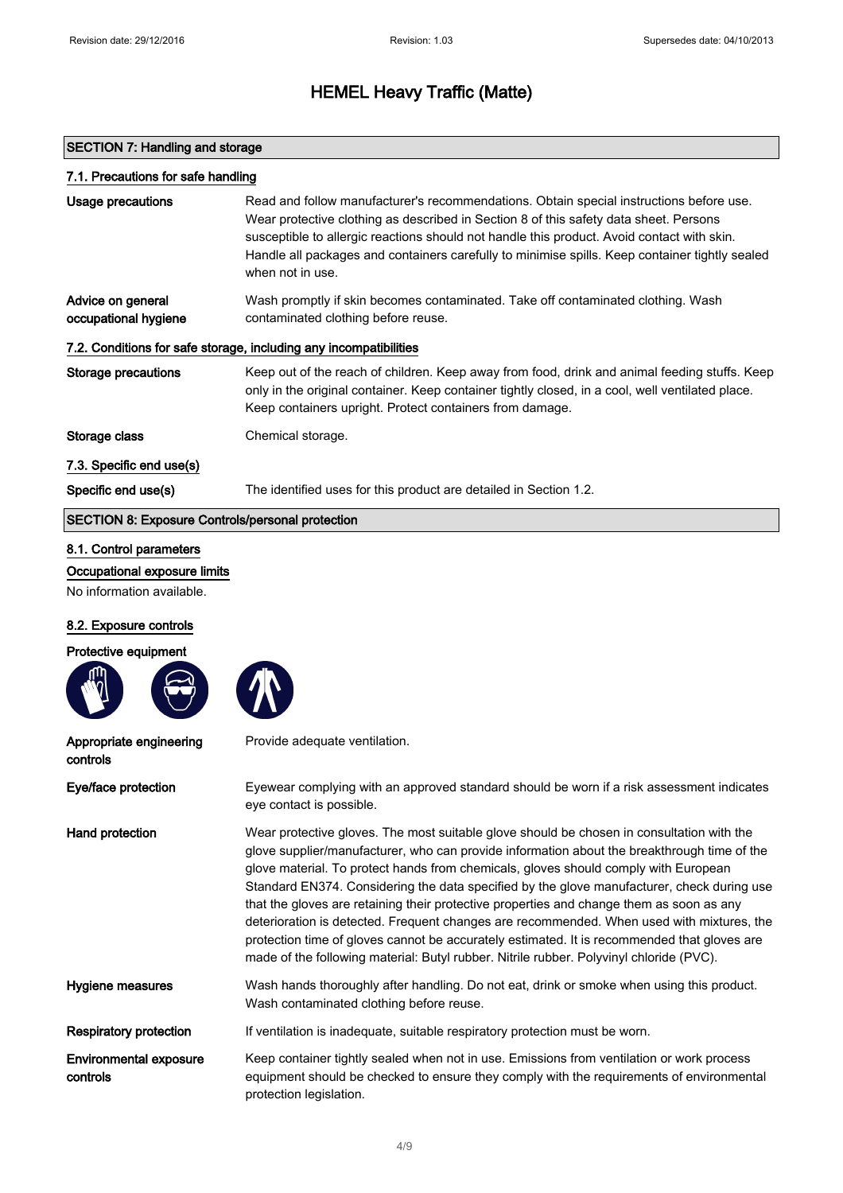## SECTION 7: Handling and storage

| 7.1. Precautions for safe handling                                |                                                                                                                                                                                                                                                                                                                                                                                                      |
|-------------------------------------------------------------------|------------------------------------------------------------------------------------------------------------------------------------------------------------------------------------------------------------------------------------------------------------------------------------------------------------------------------------------------------------------------------------------------------|
| Usage precautions                                                 | Read and follow manufacturer's recommendations. Obtain special instructions before use.<br>Wear protective clothing as described in Section 8 of this safety data sheet. Persons<br>susceptible to allergic reactions should not handle this product. Avoid contact with skin.<br>Handle all packages and containers carefully to minimise spills. Keep container tightly sealed<br>when not in use. |
| Advice on general<br>occupational hygiene                         | Wash promptly if skin becomes contaminated. Take off contaminated clothing. Wash<br>contaminated clothing before reuse.                                                                                                                                                                                                                                                                              |
| 7.2. Conditions for safe storage, including any incompatibilities |                                                                                                                                                                                                                                                                                                                                                                                                      |
| Storage precautions                                               | Keep out of the reach of children. Keep away from food, drink and animal feeding stuffs. Keep<br>only in the original container. Keep container tightly closed, in a cool, well ventilated place.<br>Keep containers upright. Protect containers from damage.                                                                                                                                        |
| Storage class                                                     | Chemical storage.                                                                                                                                                                                                                                                                                                                                                                                    |
| 7.3. Specific end use(s)                                          |                                                                                                                                                                                                                                                                                                                                                                                                      |
| Specific end use(s)                                               | The identified uses for this product are detailed in Section 1.2.                                                                                                                                                                                                                                                                                                                                    |
| <b>SECTION 8: Exposure Controls/personal protection</b>           |                                                                                                                                                                                                                                                                                                                                                                                                      |

## 8.1. Control parameters

Occupational exposure limits

No information available.

## 8.2. Exposure controls

## Protective equipment





| Appropriate engineering<br>controls       | Provide adequate ventilation.                                                                                                                                                                                                                                                                                                                                                                                                                                                                                                                                                                                                                                                                                                                                    |
|-------------------------------------------|------------------------------------------------------------------------------------------------------------------------------------------------------------------------------------------------------------------------------------------------------------------------------------------------------------------------------------------------------------------------------------------------------------------------------------------------------------------------------------------------------------------------------------------------------------------------------------------------------------------------------------------------------------------------------------------------------------------------------------------------------------------|
| Eye/face protection                       | Eyewear complying with an approved standard should be worn if a risk assessment indicates<br>eye contact is possible.                                                                                                                                                                                                                                                                                                                                                                                                                                                                                                                                                                                                                                            |
| Hand protection                           | Wear protective gloves. The most suitable glove should be chosen in consultation with the<br>glove supplier/manufacturer, who can provide information about the breakthrough time of the<br>glove material. To protect hands from chemicals, gloves should comply with European<br>Standard EN374. Considering the data specified by the glove manufacturer, check during use<br>that the gloves are retaining their protective properties and change them as soon as any<br>deterioration is detected. Frequent changes are recommended. When used with mixtures, the<br>protection time of gloves cannot be accurately estimated. It is recommended that gloves are<br>made of the following material: Butyl rubber. Nitrile rubber. Polyvinyl chloride (PVC). |
| Hygiene measures                          | Wash hands thoroughly after handling. Do not eat, drink or smoke when using this product.<br>Wash contaminated clothing before reuse.                                                                                                                                                                                                                                                                                                                                                                                                                                                                                                                                                                                                                            |
| <b>Respiratory protection</b>             | If ventilation is inadequate, suitable respiratory protection must be worn.                                                                                                                                                                                                                                                                                                                                                                                                                                                                                                                                                                                                                                                                                      |
| <b>Environmental exposure</b><br>controls | Keep container tightly sealed when not in use. Emissions from ventilation or work process<br>equipment should be checked to ensure they comply with the requirements of environmental<br>protection legislation.                                                                                                                                                                                                                                                                                                                                                                                                                                                                                                                                                 |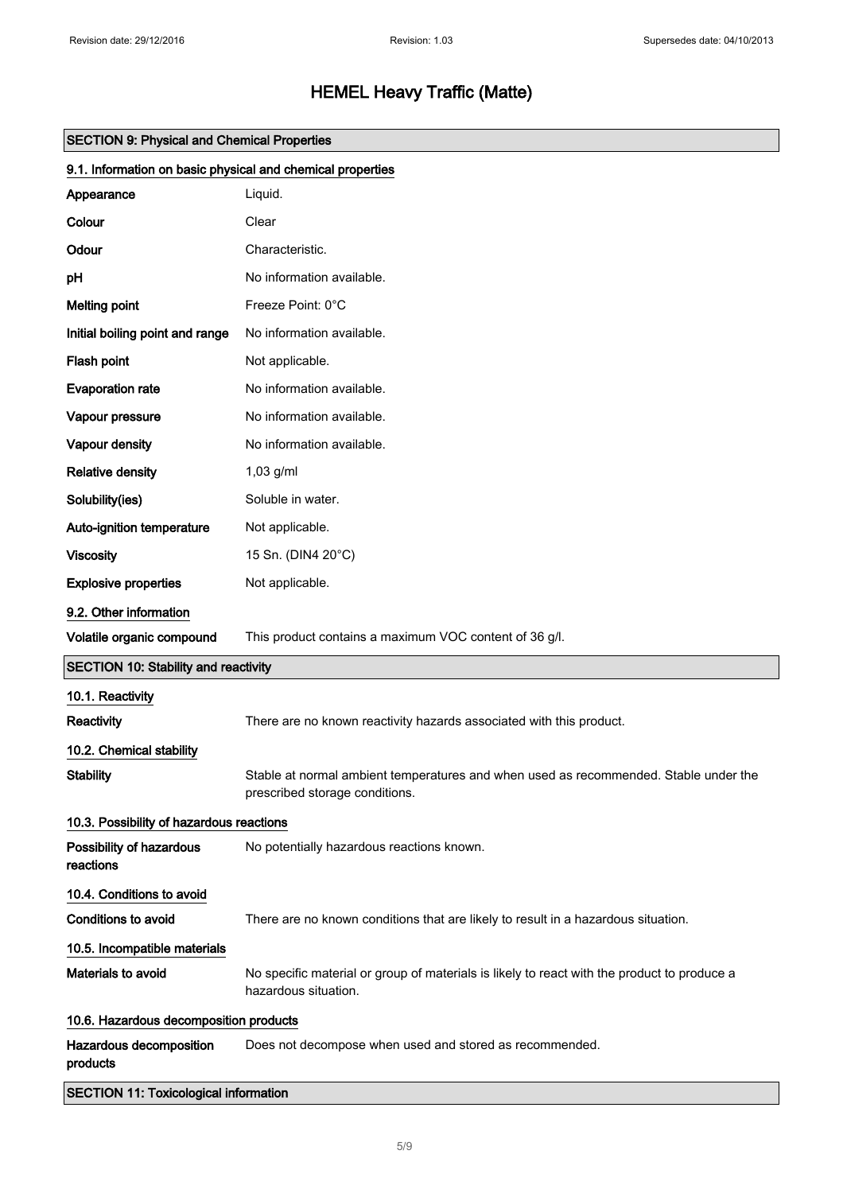| <b>SECTION 9: Physical and Chemical Properties</b>         |                                                                                                                        |
|------------------------------------------------------------|------------------------------------------------------------------------------------------------------------------------|
| 9.1. Information on basic physical and chemical properties |                                                                                                                        |
| Appearance                                                 | Liquid.                                                                                                                |
| Colour                                                     | Clear                                                                                                                  |
| Odour                                                      | Characteristic.                                                                                                        |
| pH                                                         | No information available.                                                                                              |
| <b>Melting point</b>                                       | Freeze Point: 0°C                                                                                                      |
| Initial boiling point and range                            | No information available.                                                                                              |
| Flash point                                                | Not applicable.                                                                                                        |
| <b>Evaporation rate</b>                                    | No information available.                                                                                              |
| Vapour pressure                                            | No information available.                                                                                              |
| Vapour density                                             | No information available.                                                                                              |
| <b>Relative density</b>                                    | 1,03 g/ml                                                                                                              |
| Solubility(ies)                                            | Soluble in water.                                                                                                      |
| Auto-ignition temperature                                  | Not applicable.                                                                                                        |
| <b>Viscosity</b>                                           | 15 Sn. (DIN4 20°C)                                                                                                     |
| <b>Explosive properties</b>                                | Not applicable.                                                                                                        |
| 9.2. Other information                                     |                                                                                                                        |
| Volatile organic compound                                  | This product contains a maximum VOC content of 36 g/l.                                                                 |
| <b>SECTION 10: Stability and reactivity</b>                |                                                                                                                        |
| 10.1. Reactivity                                           |                                                                                                                        |
| Reactivity                                                 | There are no known reactivity hazards associated with this product.                                                    |
| 10.2. Chemical stability                                   |                                                                                                                        |
| <b>Stability</b>                                           | Stable at normal ambient temperatures and when used as recommended. Stable under the<br>prescribed storage conditions. |
| 10.3. Possibility of hazardous reactions                   |                                                                                                                        |
| Possibility of hazardous<br>reactions                      | No potentially hazardous reactions known.                                                                              |
| 10.4. Conditions to avoid                                  |                                                                                                                        |
| <b>Conditions to avoid</b>                                 | There are no known conditions that are likely to result in a hazardous situation.                                      |
| 10.5. Incompatible materials                               |                                                                                                                        |
| <b>Materials to avoid</b>                                  | No specific material or group of materials is likely to react with the product to produce a<br>hazardous situation.    |
| 10.6. Hazardous decomposition products                     |                                                                                                                        |
| Hazardous decomposition<br>products                        | Does not decompose when used and stored as recommended.                                                                |
| <b>SECTION 11: Toxicological information</b>               |                                                                                                                        |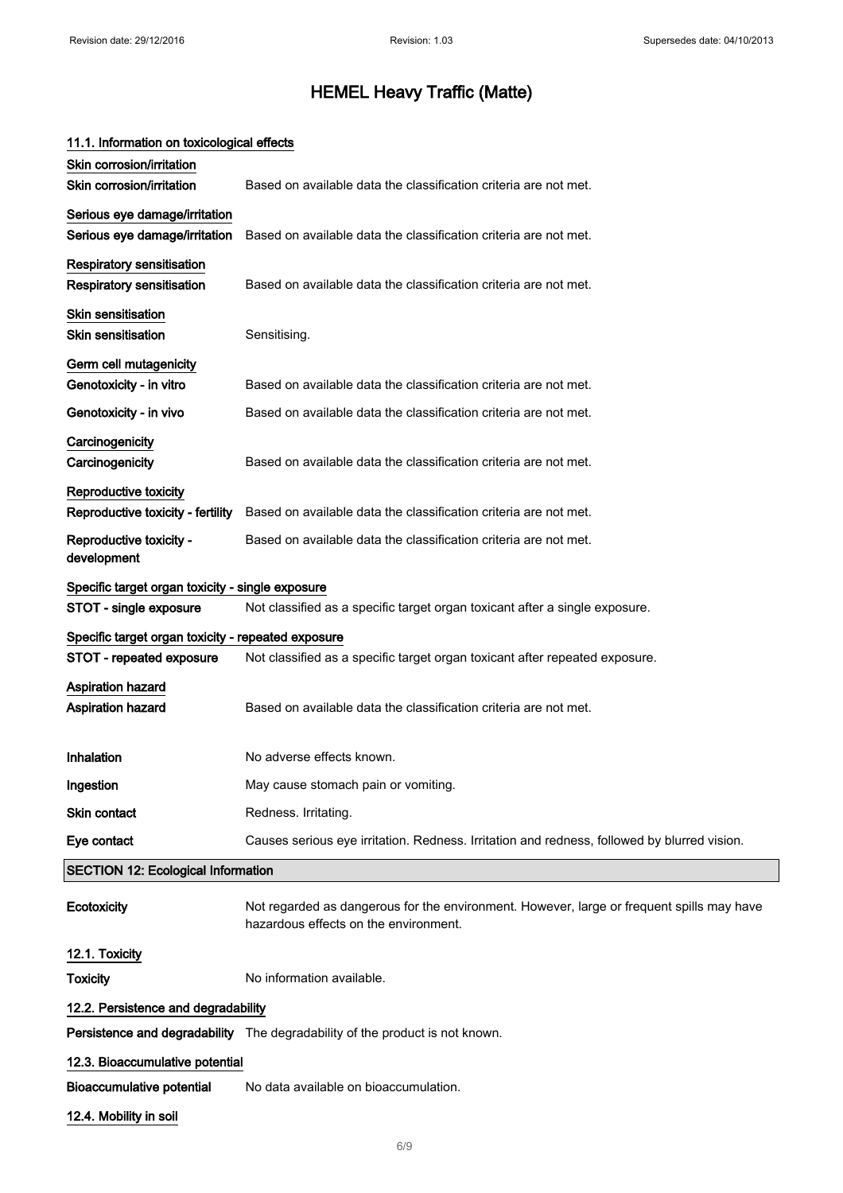| 11.1. Information on toxicological effects                     |                                                                                                                                    |
|----------------------------------------------------------------|------------------------------------------------------------------------------------------------------------------------------------|
| Skin corrosion/irritation                                      |                                                                                                                                    |
| Skin corrosion/irritation                                      | Based on available data the classification criteria are not met.                                                                   |
| Serious eye damage/irritation<br>Serious eye damage/irritation | Based on available data the classification criteria are not met.                                                                   |
| <b>Respiratory sensitisation</b><br>Respiratory sensitisation  | Based on available data the classification criteria are not met.                                                                   |
| Skin sensitisation<br><b>Skin sensitisation</b>                | Sensitising.                                                                                                                       |
| Germ cell mutagenicity<br>Genotoxicity - in vitro              | Based on available data the classification criteria are not met.                                                                   |
| Genotoxicity - in vivo                                         | Based on available data the classification criteria are not met.                                                                   |
| Carcinogenicity<br>Carcinogenicity                             | Based on available data the classification criteria are not met.                                                                   |
| <b>Reproductive toxicity</b>                                   |                                                                                                                                    |
| Reproductive toxicity - fertility                              | Based on available data the classification criteria are not met.                                                                   |
| Reproductive toxicity -<br>development                         | Based on available data the classification criteria are not met.                                                                   |
| Specific target organ toxicity - single exposure               |                                                                                                                                    |
| STOT - single exposure                                         | Not classified as a specific target organ toxicant after a single exposure.                                                        |
| Specific target organ toxicity - repeated exposure             |                                                                                                                                    |
| <b>STOT - repeated exposure</b>                                | Not classified as a specific target organ toxicant after repeated exposure.                                                        |
| Aspiration hazard<br><b>Aspiration hazard</b>                  | Based on available data the classification criteria are not met.                                                                   |
| Inhalation                                                     | No adverse effects known.                                                                                                          |
| Ingestion                                                      | May cause stomach pain or vomiting.                                                                                                |
| Skin contact                                                   | Redness. Irritating.                                                                                                               |
| Eye contact                                                    | Causes serious eye irritation. Redness. Irritation and redness, followed by blurred vision.                                        |
| <b>SECTION 12: Ecological Information</b>                      |                                                                                                                                    |
| Ecotoxicity                                                    | Not regarded as dangerous for the environment. However, large or frequent spills may have<br>hazardous effects on the environment. |
| 12.1. Toxicity                                                 |                                                                                                                                    |
| Toxicity                                                       | No information available.                                                                                                          |
| 12.2. Persistence and degradability                            |                                                                                                                                    |
|                                                                | Persistence and degradability The degradability of the product is not known.                                                       |
| 12.3. Bioaccumulative potential                                |                                                                                                                                    |
| <b>Bioaccumulative potential</b>                               | No data available on bioaccumulation.                                                                                              |
| 12.4. Mobility in soil                                         |                                                                                                                                    |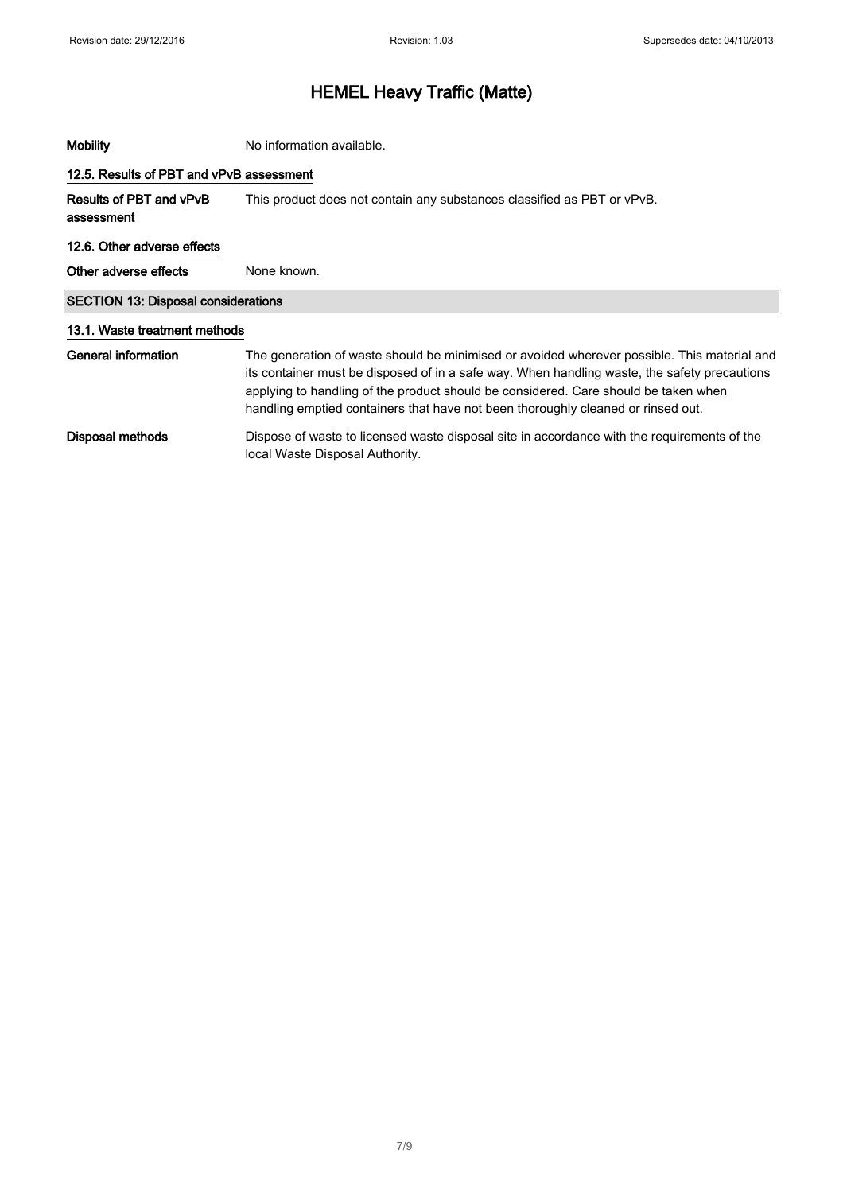| <b>Mobility</b>                            | No information available.                                                                                                                                                                                                                                                                                                                                              |
|--------------------------------------------|------------------------------------------------------------------------------------------------------------------------------------------------------------------------------------------------------------------------------------------------------------------------------------------------------------------------------------------------------------------------|
| 12.5. Results of PBT and vPvB assessment   |                                                                                                                                                                                                                                                                                                                                                                        |
| Results of PBT and vPvB<br>assessment      | This product does not contain any substances classified as PBT or vPvB.                                                                                                                                                                                                                                                                                                |
| 12.6. Other adverse effects                |                                                                                                                                                                                                                                                                                                                                                                        |
| Other adverse effects                      | None known.                                                                                                                                                                                                                                                                                                                                                            |
| <b>SECTION 13: Disposal considerations</b> |                                                                                                                                                                                                                                                                                                                                                                        |
| 13.1. Waste treatment methods              |                                                                                                                                                                                                                                                                                                                                                                        |
| General information                        | The generation of waste should be minimised or avoided wherever possible. This material and<br>its container must be disposed of in a safe way. When handling waste, the safety precautions<br>applying to handling of the product should be considered. Care should be taken when<br>handling emptied containers that have not been thoroughly cleaned or rinsed out. |
| Disposal methods                           | Dispose of waste to licensed waste disposal site in accordance with the requirements of the<br>local Waste Disposal Authority.                                                                                                                                                                                                                                         |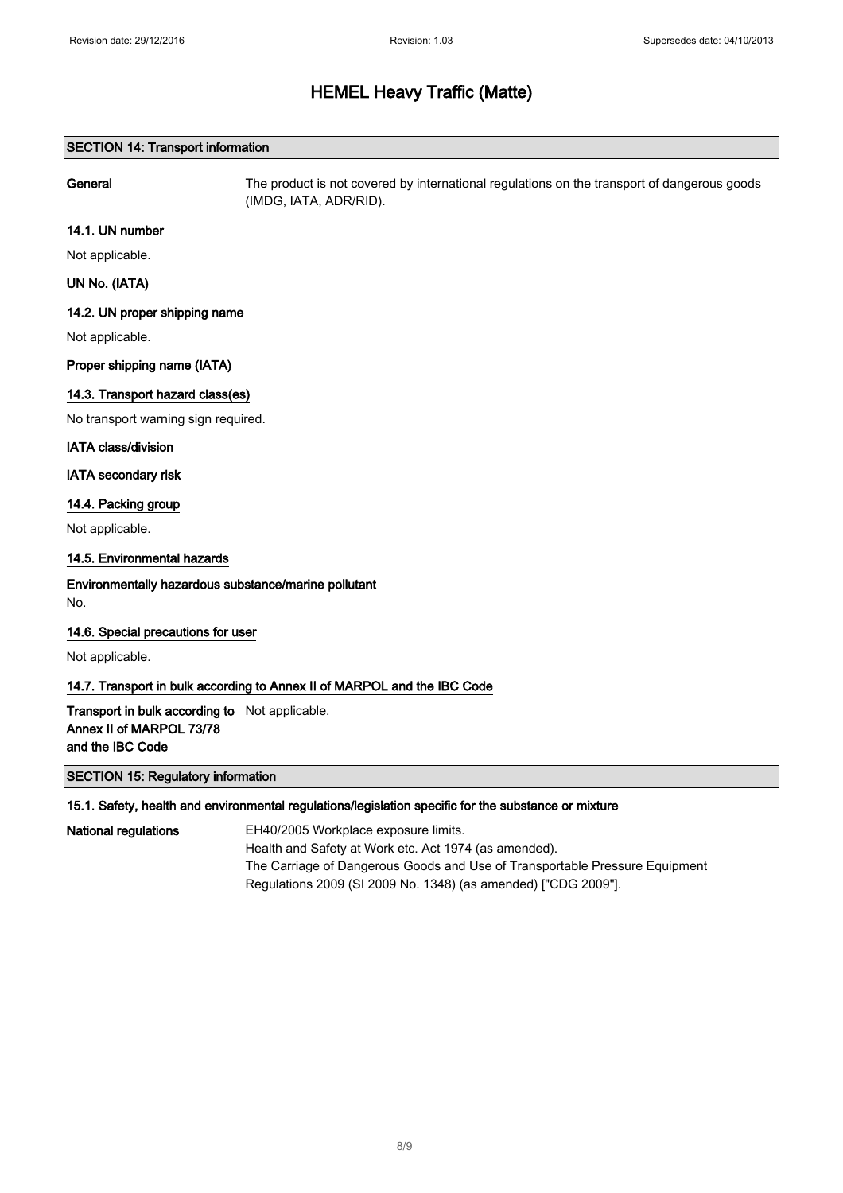## SECTION 14: Transport information

General The product is not covered by international regulations on the transport of dangerous goods (IMDG, IATA, ADR/RID).

## 14.1. UN number

Not applicable.

## UN No. (IATA)

## 14.2. UN proper shipping name

Not applicable.

## Proper shipping name (IATA)

## 14.3. Transport hazard class(es)

No transport warning sign required.

#### IATA class/division

IATA secondary risk

## 14.4. Packing group

Not applicable.

## 14.5. Environmental hazards

## Environmentally hazardous substance/marine pollutant No.

## 14.6. Special precautions for user

Not applicable.

## 14.7. Transport in bulk according to Annex II of MARPOL and the IBC Code

Transport in bulk according to Not applicable. Annex II of MARPOL 73/78 and the IBC Code

## SECTION 15: Regulatory information

## 15.1. Safety, health and environmental regulations/legislation specific for the substance or mixture

National regulations EH40/2005 Workplace exposure limits. Health and Safety at Work etc. Act 1974 (as amended). The Carriage of Dangerous Goods and Use of Transportable Pressure Equipment Regulations 2009 (SI 2009 No. 1348) (as amended) ["CDG 2009"].